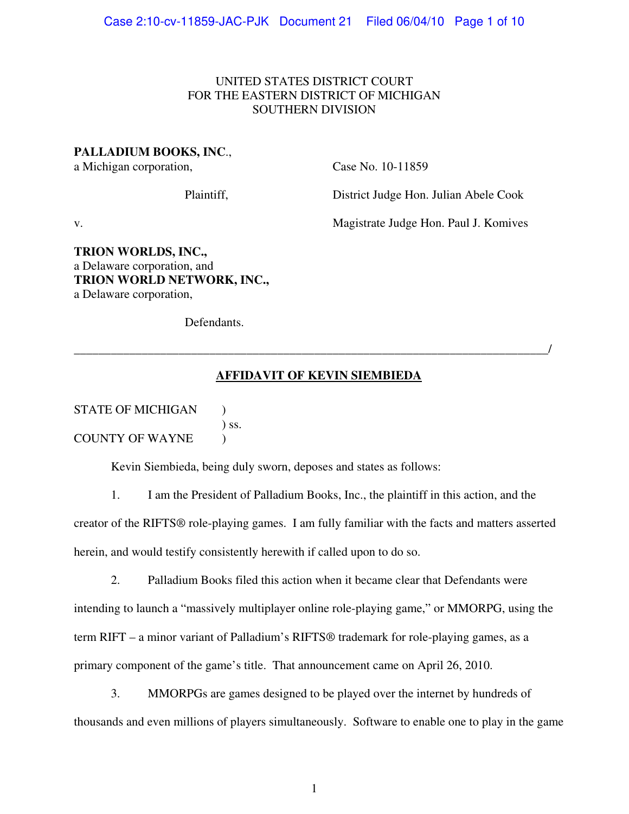## UNITED STATES DISTRICT COURT FOR THE EASTERN DISTRICT OF MICHIGAN SOUTHERN DIVISION

## **PALLADIUM BOOKS, INC**.,

a Michigan corporation, Case No. 10-11859

Plaintiff, District Judge Hon. Julian Abele Cook

v. Magistrate Judge Hon. Paul J. Komives

**TRION WORLDS, INC.,**  a Delaware corporation, and **TRION WORLD NETWORK, INC.,**  a Delaware corporation,

Defendants.

## **AFFIDAVIT OF KEVIN SIEMBIEDA**

\_\_\_\_\_\_\_\_\_\_\_\_\_\_\_\_\_\_\_\_\_\_\_\_\_\_\_\_\_\_\_\_\_\_\_\_\_\_\_\_\_\_\_\_\_\_\_\_\_\_\_\_\_\_\_\_\_\_\_\_\_\_\_\_\_\_\_\_\_\_\_\_\_\_\_\_\_/

| <b>STATE OF MICHIGAN</b> |         |
|--------------------------|---------|
|                          | $)$ SS. |
| <b>COUNTY OF WAYNE</b>   |         |

Kevin Siembieda, being duly sworn, deposes and states as follows:

 1. I am the President of Palladium Books, Inc., the plaintiff in this action, and the creator of the RIFTS® role-playing games. I am fully familiar with the facts and matters asserted herein, and would testify consistently herewith if called upon to do so.

 2. Palladium Books filed this action when it became clear that Defendants were intending to launch a "massively multiplayer online role-playing game," or MMORPG, using the term RIFT – a minor variant of Palladium's RIFTS® trademark for role-playing games, as a primary component of the game's title. That announcement came on April 26, 2010.

 3. MMORPGs are games designed to be played over the internet by hundreds of thousands and even millions of players simultaneously. Software to enable one to play in the game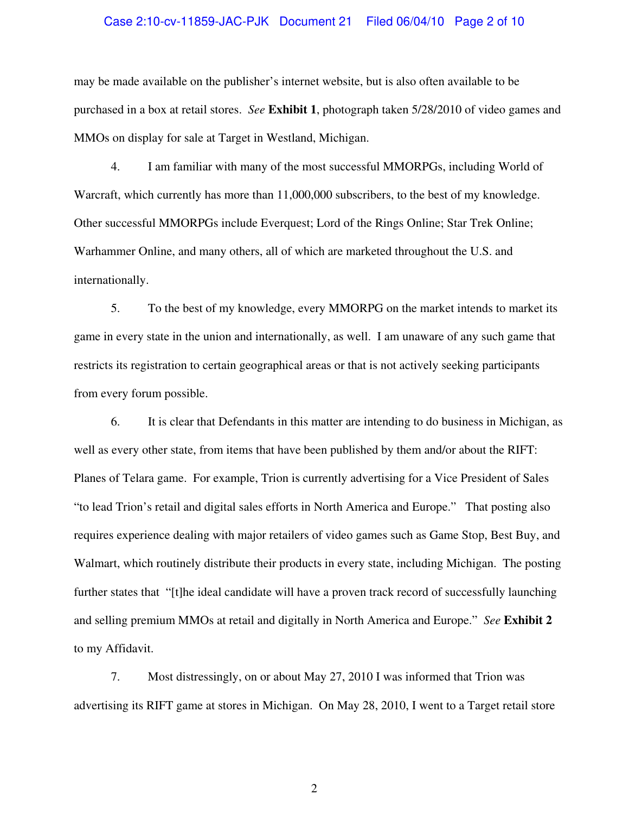#### Case 2:10-cv-11859-JAC-PJK Document 21 Filed 06/04/10 Page 2 of 10

may be made available on the publisher's internet website, but is also often available to be purchased in a box at retail stores. *See* **Exhibit 1**, photograph taken 5/28/2010 of video games and MMOs on display for sale at Target in Westland, Michigan.

 4. I am familiar with many of the most successful MMORPGs, including World of Warcraft, which currently has more than 11,000,000 subscribers, to the best of my knowledge. Other successful MMORPGs include Everquest; Lord of the Rings Online; Star Trek Online; Warhammer Online, and many others, all of which are marketed throughout the U.S. and internationally.

 5. To the best of my knowledge, every MMORPG on the market intends to market its game in every state in the union and internationally, as well. I am unaware of any such game that restricts its registration to certain geographical areas or that is not actively seeking participants from every forum possible.

 6. It is clear that Defendants in this matter are intending to do business in Michigan, as well as every other state, from items that have been published by them and/or about the RIFT: Planes of Telara game. For example, Trion is currently advertising for a Vice President of Sales "to lead Trion's retail and digital sales efforts in North America and Europe." That posting also requires experience dealing with major retailers of video games such as Game Stop, Best Buy, and Walmart, which routinely distribute their products in every state, including Michigan. The posting further states that "[t]he ideal candidate will have a proven track record of successfully launching and selling premium MMOs at retail and digitally in North America and Europe." *See* **Exhibit 2** to my Affidavit.

 7. Most distressingly, on or about May 27, 2010 I was informed that Trion was advertising its RIFT game at stores in Michigan. On May 28, 2010, I went to a Target retail store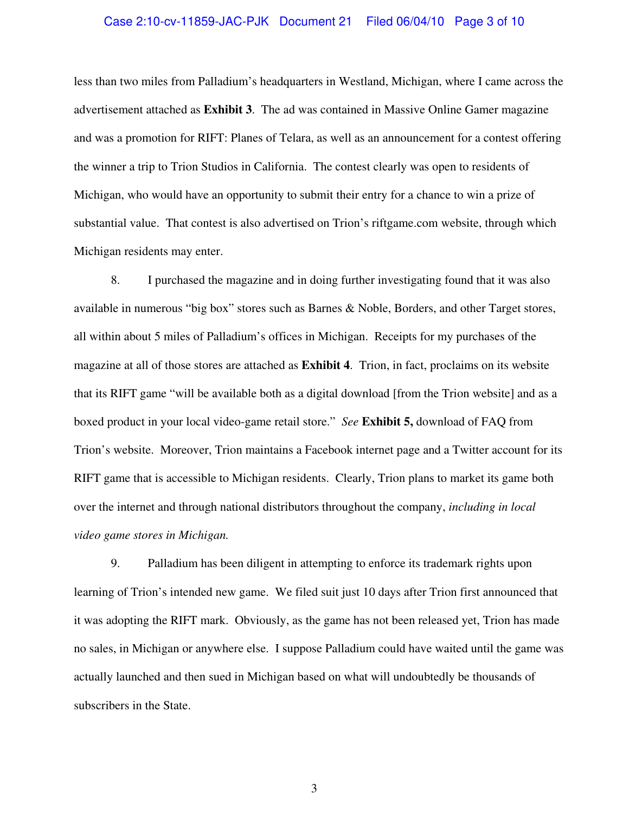### Case 2:10-cv-11859-JAC-PJK Document 21 Filed 06/04/10 Page 3 of 10

less than two miles from Palladium's headquarters in Westland, Michigan, where I came across the advertisement attached as **Exhibit 3**. The ad was contained in Massive Online Gamer magazine and was a promotion for RIFT: Planes of Telara, as well as an announcement for a contest offering the winner a trip to Trion Studios in California. The contest clearly was open to residents of Michigan, who would have an opportunity to submit their entry for a chance to win a prize of substantial value. That contest is also advertised on Trion's riftgame.com website, through which Michigan residents may enter.

 8. I purchased the magazine and in doing further investigating found that it was also available in numerous "big box" stores such as Barnes & Noble, Borders, and other Target stores, all within about 5 miles of Palladium's offices in Michigan. Receipts for my purchases of the magazine at all of those stores are attached as **Exhibit 4**. Trion, in fact, proclaims on its website that its RIFT game "will be available both as a digital download [from the Trion website] and as a boxed product in your local video-game retail store." *See* **Exhibit 5,** download of FAQ from Trion's website. Moreover, Trion maintains a Facebook internet page and a Twitter account for its RIFT game that is accessible to Michigan residents. Clearly, Trion plans to market its game both over the internet and through national distributors throughout the company, *including in local video game stores in Michigan.* 

9. Palladium has been diligent in attempting to enforce its trademark rights upon learning of Trion's intended new game. We filed suit just 10 days after Trion first announced that it was adopting the RIFT mark. Obviously, as the game has not been released yet, Trion has made no sales, in Michigan or anywhere else. I suppose Palladium could have waited until the game was actually launched and then sued in Michigan based on what will undoubtedly be thousands of subscribers in the State.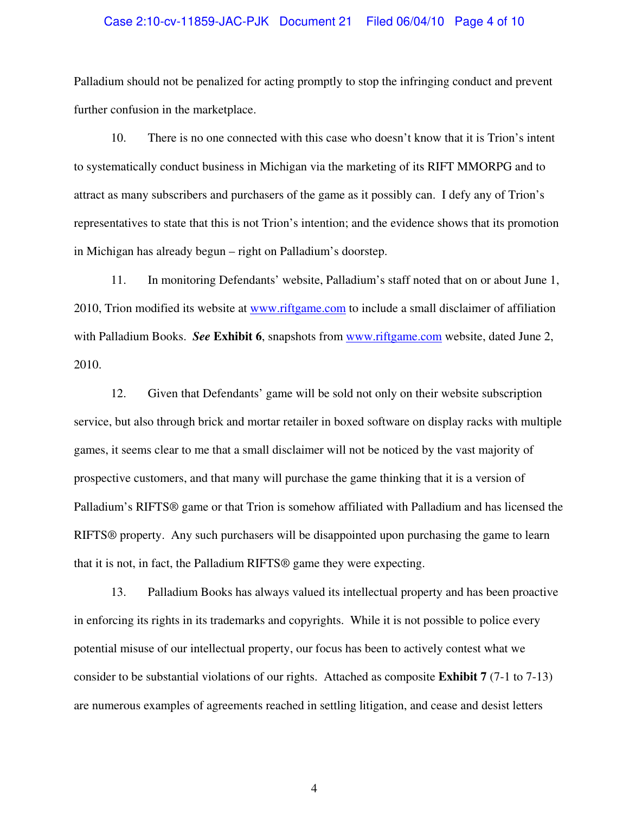## Case 2:10-cv-11859-JAC-PJK Document 21 Filed 06/04/10 Page 4 of 10

Palladium should not be penalized for acting promptly to stop the infringing conduct and prevent further confusion in the marketplace.

10. There is no one connected with this case who doesn't know that it is Trion's intent to systematically conduct business in Michigan via the marketing of its RIFT MMORPG and to attract as many subscribers and purchasers of the game as it possibly can. I defy any of Trion's representatives to state that this is not Trion's intention; and the evidence shows that its promotion in Michigan has already begun – right on Palladium's doorstep.

11. In monitoring Defendants' website, Palladium's staff noted that on or about June 1, 2010, Trion modified its website at www.riftgame.com to include a small disclaimer of affiliation with Palladium Books. *See* **Exhibit 6**, snapshots from www.riftgame.com website, dated June 2, 2010.

12. Given that Defendants' game will be sold not only on their website subscription service, but also through brick and mortar retailer in boxed software on display racks with multiple games, it seems clear to me that a small disclaimer will not be noticed by the vast majority of prospective customers, and that many will purchase the game thinking that it is a version of Palladium's RIFTS® game or that Trion is somehow affiliated with Palladium and has licensed the RIFTS® property. Any such purchasers will be disappointed upon purchasing the game to learn that it is not, in fact, the Palladium RIFTS® game they were expecting.

13. Palladium Books has always valued its intellectual property and has been proactive in enforcing its rights in its trademarks and copyrights. While it is not possible to police every potential misuse of our intellectual property, our focus has been to actively contest what we consider to be substantial violations of our rights. Attached as composite **Exhibit 7** (7-1 to 7-13) are numerous examples of agreements reached in settling litigation, and cease and desist letters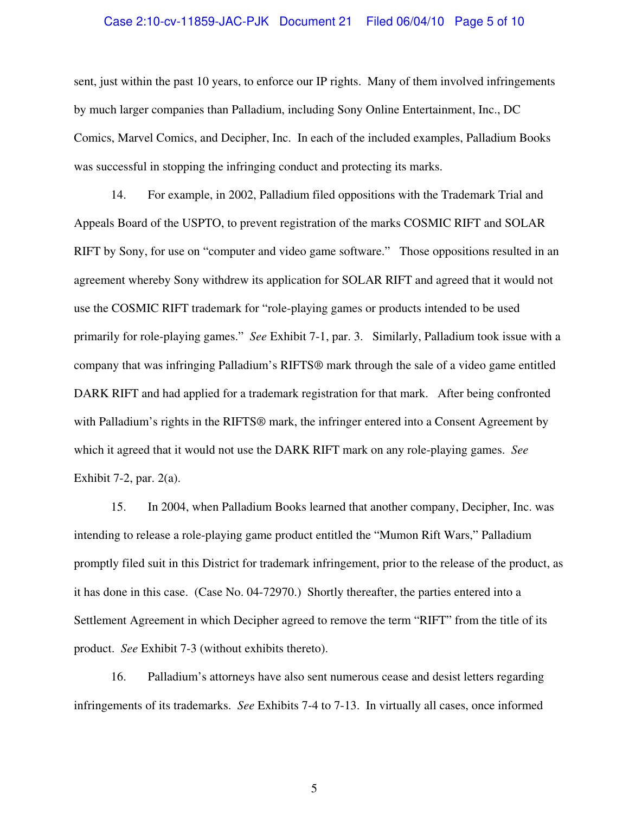### Case 2:10-cv-11859-JAC-PJK Document 21 Filed 06/04/10 Page 5 of 10

sent, just within the past 10 years, to enforce our IP rights. Many of them involved infringements by much larger companies than Palladium, including Sony Online Entertainment, Inc., DC Comics, Marvel Comics, and Decipher, Inc. In each of the included examples, Palladium Books was successful in stopping the infringing conduct and protecting its marks.

14. For example, in 2002, Palladium filed oppositions with the Trademark Trial and Appeals Board of the USPTO, to prevent registration of the marks COSMIC RIFT and SOLAR RIFT by Sony, for use on "computer and video game software." Those oppositions resulted in an agreement whereby Sony withdrew its application for SOLAR RIFT and agreed that it would not use the COSMIC RIFT trademark for "role-playing games or products intended to be used primarily for role-playing games." *See* Exhibit 7-1, par. 3. Similarly, Palladium took issue with a company that was infringing Palladium's RIFTS® mark through the sale of a video game entitled DARK RIFT and had applied for a trademark registration for that mark. After being confronted with Palladium's rights in the RIFTS<sup>®</sup> mark, the infringer entered into a Consent Agreement by which it agreed that it would not use the DARK RIFT mark on any role-playing games. *See*  Exhibit 7-2, par. 2(a).

15. In 2004, when Palladium Books learned that another company, Decipher, Inc. was intending to release a role-playing game product entitled the "Mumon Rift Wars," Palladium promptly filed suit in this District for trademark infringement, prior to the release of the product, as it has done in this case. (Case No. 04-72970.) Shortly thereafter, the parties entered into a Settlement Agreement in which Decipher agreed to remove the term "RIFT" from the title of its product. *See* Exhibit 7-3 (without exhibits thereto).

16. Palladium's attorneys have also sent numerous cease and desist letters regarding infringements of its trademarks. *See* Exhibits 7-4 to 7-13. In virtually all cases, once informed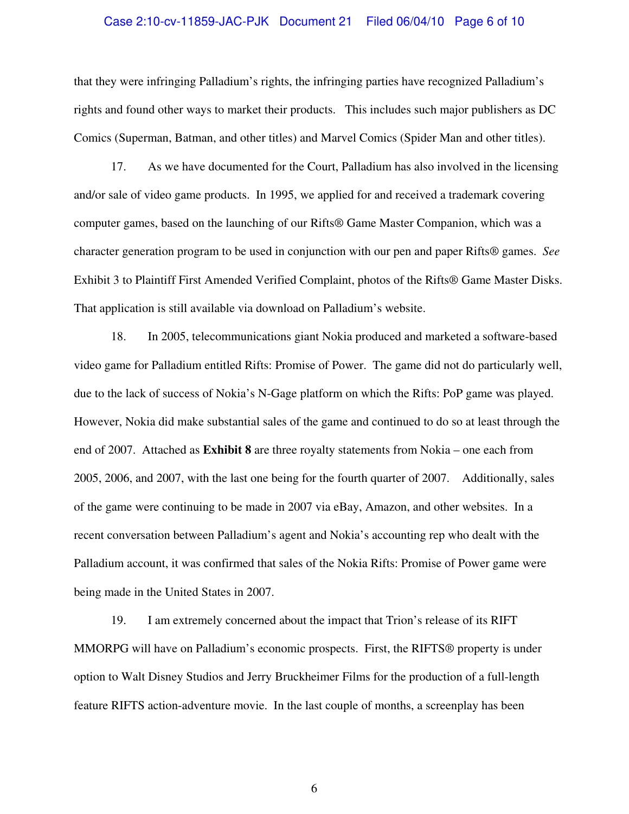## Case 2:10-cv-11859-JAC-PJK Document 21 Filed 06/04/10 Page 6 of 10

that they were infringing Palladium's rights, the infringing parties have recognized Palladium's rights and found other ways to market their products. This includes such major publishers as DC Comics (Superman, Batman, and other titles) and Marvel Comics (Spider Man and other titles).

17. As we have documented for the Court, Palladium has also involved in the licensing and/or sale of video game products. In 1995, we applied for and received a trademark covering computer games, based on the launching of our Rifts® Game Master Companion, which was a character generation program to be used in conjunction with our pen and paper Rifts® games. *See*  Exhibit 3 to Plaintiff First Amended Verified Complaint, photos of the Rifts® Game Master Disks. That application is still available via download on Palladium's website.

18. In 2005, telecommunications giant Nokia produced and marketed a software-based video game for Palladium entitled Rifts: Promise of Power. The game did not do particularly well, due to the lack of success of Nokia's N-Gage platform on which the Rifts: PoP game was played. However, Nokia did make substantial sales of the game and continued to do so at least through the end of 2007. Attached as **Exhibit 8** are three royalty statements from Nokia – one each from 2005, 2006, and 2007, with the last one being for the fourth quarter of 2007. Additionally, sales of the game were continuing to be made in 2007 via eBay, Amazon, and other websites. In a recent conversation between Palladium's agent and Nokia's accounting rep who dealt with the Palladium account, it was confirmed that sales of the Nokia Rifts: Promise of Power game were being made in the United States in 2007.

19. I am extremely concerned about the impact that Trion's release of its RIFT MMORPG will have on Palladium's economic prospects. First, the RIFTS® property is under option to Walt Disney Studios and Jerry Bruckheimer Films for the production of a full-length feature RIFTS action-adventure movie. In the last couple of months, a screenplay has been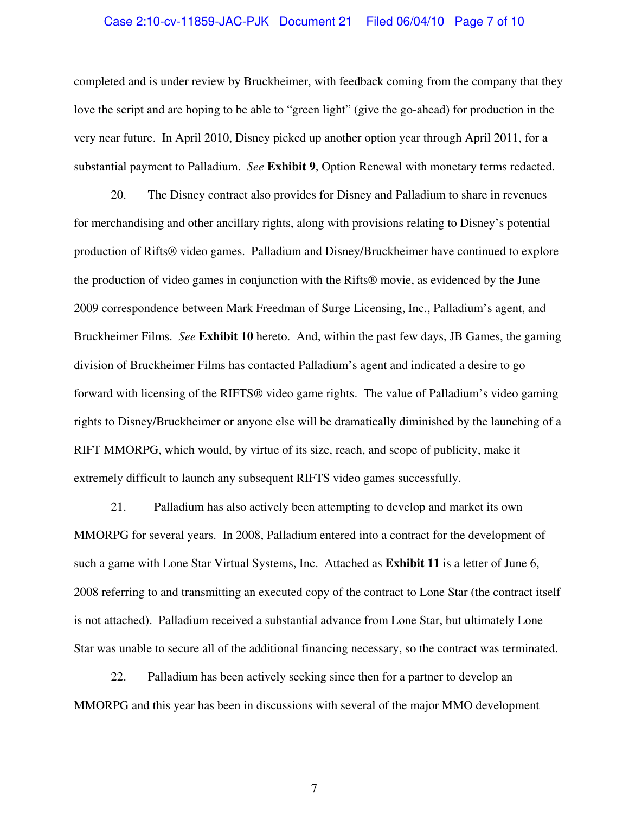### Case 2:10-cv-11859-JAC-PJK Document 21 Filed 06/04/10 Page 7 of 10

completed and is under review by Bruckheimer, with feedback coming from the company that they love the script and are hoping to be able to "green light" (give the go-ahead) for production in the very near future. In April 2010, Disney picked up another option year through April 2011, for a substantial payment to Palladium. *See* **Exhibit 9**, Option Renewal with monetary terms redacted.

20. The Disney contract also provides for Disney and Palladium to share in revenues for merchandising and other ancillary rights, along with provisions relating to Disney's potential production of Rifts® video games. Palladium and Disney/Bruckheimer have continued to explore the production of video games in conjunction with the Rifts® movie, as evidenced by the June 2009 correspondence between Mark Freedman of Surge Licensing, Inc., Palladium's agent, and Bruckheimer Films. *See* **Exhibit 10** hereto. And, within the past few days, JB Games, the gaming division of Bruckheimer Films has contacted Palladium's agent and indicated a desire to go forward with licensing of the RIFTS® video game rights. The value of Palladium's video gaming rights to Disney/Bruckheimer or anyone else will be dramatically diminished by the launching of a RIFT MMORPG, which would, by virtue of its size, reach, and scope of publicity, make it extremely difficult to launch any subsequent RIFTS video games successfully.

21. Palladium has also actively been attempting to develop and market its own MMORPG for several years. In 2008, Palladium entered into a contract for the development of such a game with Lone Star Virtual Systems, Inc. Attached as **Exhibit 11** is a letter of June 6, 2008 referring to and transmitting an executed copy of the contract to Lone Star (the contract itself is not attached). Palladium received a substantial advance from Lone Star, but ultimately Lone Star was unable to secure all of the additional financing necessary, so the contract was terminated.

22. Palladium has been actively seeking since then for a partner to develop an MMORPG and this year has been in discussions with several of the major MMO development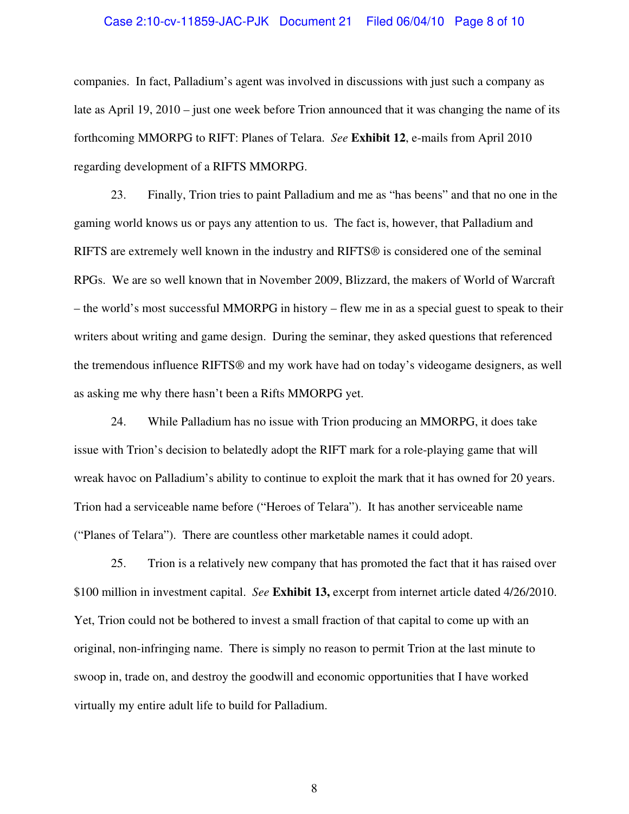# Case 2:10-cv-11859-JAC-PJK Document 21 Filed 06/04/10 Page 8 of 10

companies. In fact, Palladium's agent was involved in discussions with just such a company as late as April 19, 2010 – just one week before Trion announced that it was changing the name of its forthcoming MMORPG to RIFT: Planes of Telara. *See* **Exhibit 12**, e-mails from April 2010 regarding development of a RIFTS MMORPG.

23. Finally, Trion tries to paint Palladium and me as "has beens" and that no one in the gaming world knows us or pays any attention to us. The fact is, however, that Palladium and RIFTS are extremely well known in the industry and RIFTS® is considered one of the seminal RPGs. We are so well known that in November 2009, Blizzard, the makers of World of Warcraft – the world's most successful MMORPG in history – flew me in as a special guest to speak to their writers about writing and game design. During the seminar, they asked questions that referenced the tremendous influence RIFTS® and my work have had on today's videogame designers, as well as asking me why there hasn't been a Rifts MMORPG yet.

24. While Palladium has no issue with Trion producing an MMORPG, it does take issue with Trion's decision to belatedly adopt the RIFT mark for a role-playing game that will wreak havoc on Palladium's ability to continue to exploit the mark that it has owned for 20 years. Trion had a serviceable name before ("Heroes of Telara"). It has another serviceable name ("Planes of Telara"). There are countless other marketable names it could adopt.

25. Trion is a relatively new company that has promoted the fact that it has raised over \$100 million in investment capital. *See* **Exhibit 13,** excerpt from internet article dated 4/26/2010. Yet, Trion could not be bothered to invest a small fraction of that capital to come up with an original, non-infringing name. There is simply no reason to permit Trion at the last minute to swoop in, trade on, and destroy the goodwill and economic opportunities that I have worked virtually my entire adult life to build for Palladium.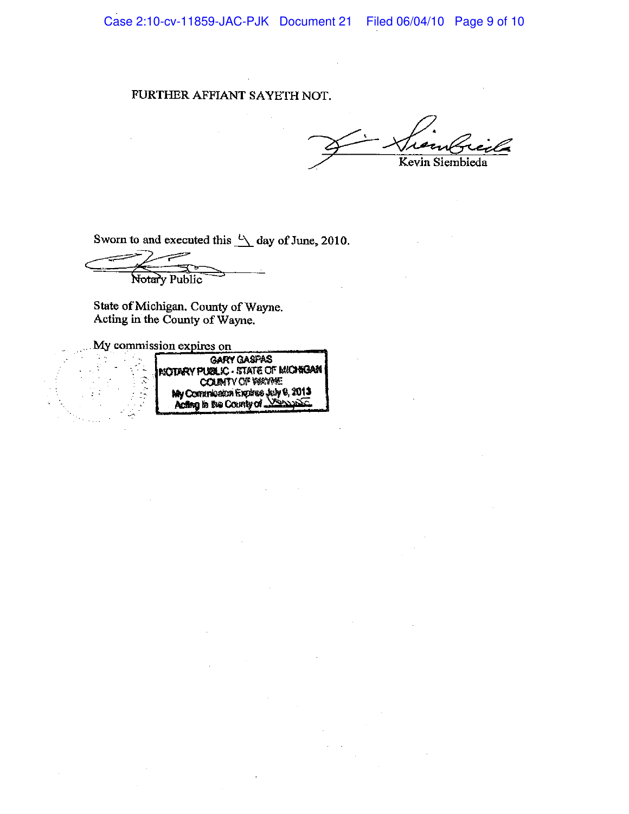Case 2:10-cv-11859-JAC-PJK Document 21 Filed 06/04/10 Page 9 of 10

#### FURTHER AFFIANT SAYETH NOT.

Kevin Siembieda

Sworn to and executed this  $\sqrt[1]{\phantom{1}}$  day of June, 2010.

Notary Public

State of Michigan, County of Wayne.<br>Acting in the County of Wayne.

My commission expires on